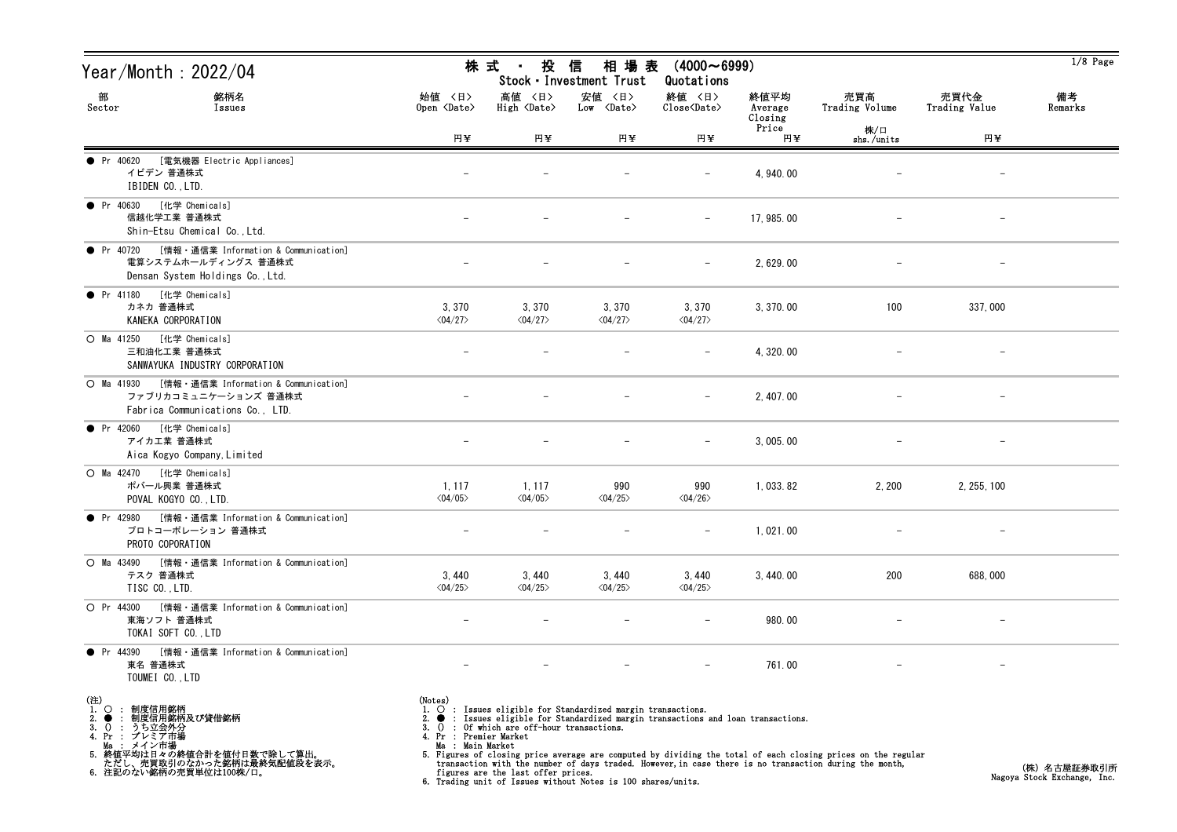| Year/Month : 2022/04                                                                                                                                                                      |                                                                                                                                                                                                                                                                                                                                                                                                                                                                                                                                                                                        | 株 式 ・<br>投 信                            | 相 場 表<br>Stock · Investment Trust          | $(4000 \sim 6999)$<br>Quotations                   |                            |                       |                          | $1/8$ Page    |
|-------------------------------------------------------------------------------------------------------------------------------------------------------------------------------------------|----------------------------------------------------------------------------------------------------------------------------------------------------------------------------------------------------------------------------------------------------------------------------------------------------------------------------------------------------------------------------------------------------------------------------------------------------------------------------------------------------------------------------------------------------------------------------------------|-----------------------------------------|--------------------------------------------|----------------------------------------------------|----------------------------|-----------------------|--------------------------|---------------|
| 銘柄名<br>部<br>Sector<br>Issues                                                                                                                                                              | 始値 〈日〉<br>Open <date></date>                                                                                                                                                                                                                                                                                                                                                                                                                                                                                                                                                           | 高値 〈日〉<br>High $\langle$ Date $\rangle$ | 安値 〈日〉<br>$Low \ \langle Date \rangle$     | 終値 〈日〉<br>$\text{Close}\langle \text{Date}\rangle$ | 終値平均<br>Average<br>Closing | 売買高<br>Trading Volume | 売買代金<br>Trading Value    | 備考<br>Remarks |
|                                                                                                                                                                                           | 円¥                                                                                                                                                                                                                                                                                                                                                                                                                                                                                                                                                                                     | 円半                                      | 円半                                         | 円半                                                 | Price<br>円半                | 株/口<br>shs./units     | 円半                       |               |
| [電気機器 Electric Appliances]<br>$\bullet$ Pr 40620<br>イビデン 普通株式<br>IBIDEN CO., LTD.                                                                                                         |                                                                                                                                                                                                                                                                                                                                                                                                                                                                                                                                                                                        |                                         |                                            |                                                    | 4, 940.00                  |                       |                          |               |
| ● Pr 40630 [化学 Chemicals]<br>信越化学工業 普通株式<br>Shin-Etsu Chemical Co., Ltd.                                                                                                                  |                                                                                                                                                                                                                                                                                                                                                                                                                                                                                                                                                                                        |                                         |                                            |                                                    | 17, 985.00                 |                       |                          |               |
| ● Pr 40720 [情報・通信業 Information & Communication]<br>電算システムホールディングス 普通株式<br>Densan System Holdings Co., Ltd.                                                                                |                                                                                                                                                                                                                                                                                                                                                                                                                                                                                                                                                                                        |                                         |                                            |                                                    | 2,629.00                   |                       |                          |               |
| [化学 Chemicals]<br>$\bullet$ Pr 41180<br>カネカ 普通株式<br>KANEKA CORPORATION                                                                                                                    | 3,370<br>$\langle 04/27 \rangle$                                                                                                                                                                                                                                                                                                                                                                                                                                                                                                                                                       | 3,370<br>$\langle 04/27 \rangle$        | 3,370<br>$\langle 04/27 \rangle$           | 3, 370<br>$\langle 04/27 \rangle$                  | 3, 370.00                  | 100                   | 337,000                  |               |
| O Ma 41250 [化学 Chemicals]<br>三和油化工業 普通株式<br>SANWAYUKA INDUSTRY CORPORATION                                                                                                                |                                                                                                                                                                                                                                                                                                                                                                                                                                                                                                                                                                                        |                                         |                                            |                                                    | 4, 320.00                  |                       |                          |               |
| ○ Ma 41930 [情報 · 通信業 Information & Communication]<br>ファブリカコミュニケーションズ 普通株式<br>Fabrica Communications Co., LTD.                                                                             |                                                                                                                                                                                                                                                                                                                                                                                                                                                                                                                                                                                        |                                         |                                            |                                                    | 2, 407.00                  |                       | $\overline{\phantom{m}}$ |               |
| [化学 Chemicals]<br>$\bullet$ Pr 42060<br>アイカエ業 普通株式<br>Aica Kogyo Company, Limited                                                                                                         |                                                                                                                                                                                                                                                                                                                                                                                                                                                                                                                                                                                        |                                         |                                            |                                                    | 3,005.00                   |                       |                          |               |
| [化学 Chemicals]<br>$O$ Ma 42470<br>ポバール興業 普通株式<br>POVAL KOGYO CO., LTD.                                                                                                                    | 1, 117<br>$\langle 04/05 \rangle$                                                                                                                                                                                                                                                                                                                                                                                                                                                                                                                                                      | 1, 117<br>$\langle 04/05 \rangle$       | 990<br>$\langle 04/25 \rangle$             | 990<br>$\langle 04/26 \rangle$                     | 1,033.82                   | 2,200                 | 2, 255, 100              |               |
| [情報・通信業 Information & Communication]<br>$\bullet$ Pr 42980<br>プロトコーポレーション 普通株式<br>PROTO COPORATION                                                                                        |                                                                                                                                                                                                                                                                                                                                                                                                                                                                                                                                                                                        |                                         |                                            |                                                    | 1,021.00                   |                       |                          |               |
| ○ Ma 43490 [情報 · 通信業 Information & Communication]<br>テスク 普通株式<br>TISC CO., LTD.                                                                                                           | 3,440<br>$\langle 04/25 \rangle$                                                                                                                                                                                                                                                                                                                                                                                                                                                                                                                                                       | 3, 440<br>$\langle 04/25 \rangle$       | 3,440<br>$\langle 04/25 \rangle$           | 3,440<br>$\langle 04/25 \rangle$                   | 3,440.00                   | 200                   | 688,000                  |               |
| O Pr 44300<br>[情報・通信業 Information & Communication]<br>東海ソフト 普通株式<br>TOKAI SOFT CO., LTD                                                                                                   |                                                                                                                                                                                                                                                                                                                                                                                                                                                                                                                                                                                        |                                         |                                            |                                                    | 980.00                     |                       |                          |               |
| [情報・通信業 Information & Communication]<br>• Pr $44390$<br>東名 普通株式<br>TOUMEI CO., LTD                                                                                                        |                                                                                                                                                                                                                                                                                                                                                                                                                                                                                                                                                                                        |                                         |                                            |                                                    | 761.00                     |                       | $\qquad \qquad -$        |               |
| (注)<br>1.<br>○ : 制度信用銘柄<br>制度信用銘柄及び貸借銘柄<br>2.<br>3.<br>(): うち立会外分<br>4. Pr : プレミア市場<br>Ma : メイン市場<br>5. 総値平均は日々の終値合計を値付日数で除して算出。<br>ただし、売買取引のなかった銘柄は最終気配値段を表示。<br>6. 注記のない銘柄の売買単位は100株/口。 | (Notes)<br>1. O : Issues eligible for Standardized margin transactions.<br>: Issues eligible for Standardized margin transactions and loan transactions.<br>: Of which are off-hour transactions.<br>3.0<br>4. Pr : Premier Market<br>Ma : Main Market<br>5. Figures of closing price average are computed by dividing the total of each closing prices on the regular<br>transaction with the number of days traded. However, in case there is no transaction during the month,<br>figures are the last offer prices.<br>6. Trading unit of Issues without Notes is 100 shares/units. |                                         | (株)名古屋証券取引所<br>Nagoya Stock Exchange, Inc. |                                                    |                            |                       |                          |               |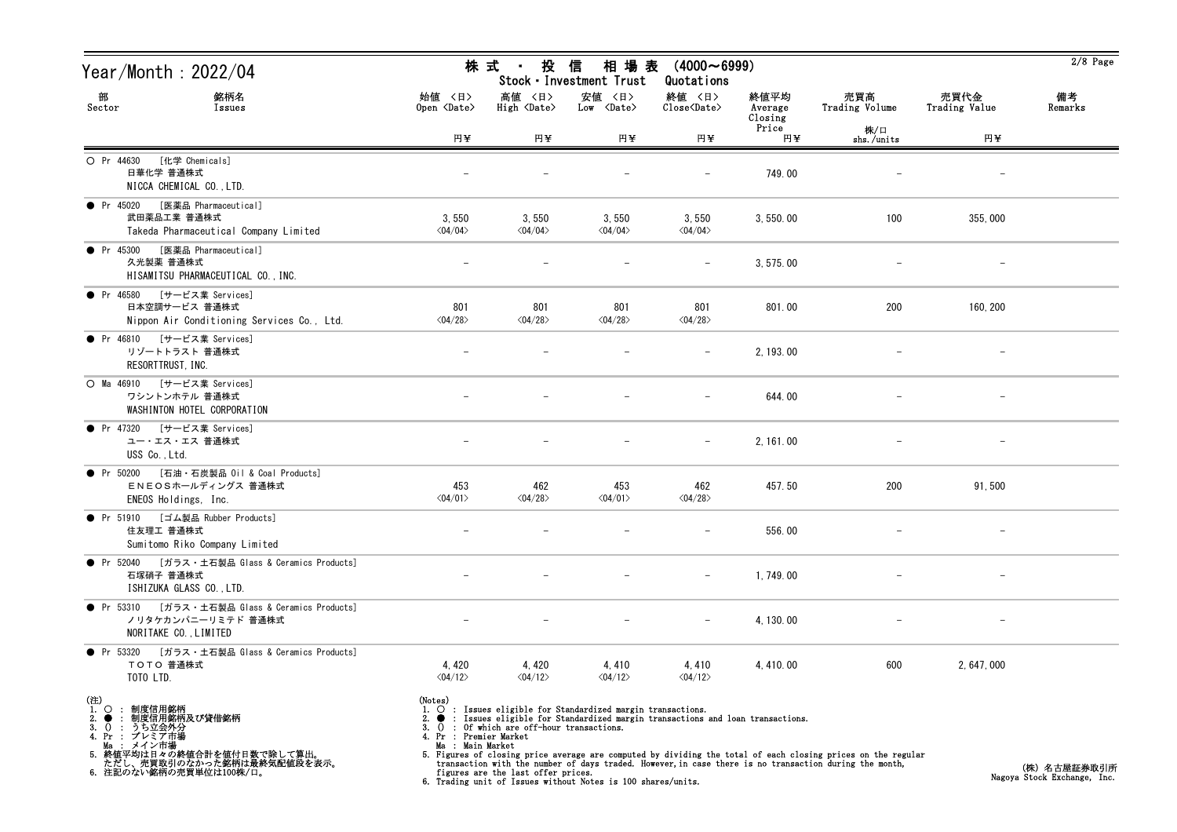| Year/Month : 2022/04                                                                                                                                                                                                      |                                                                                                                                                                                                                                                                                                                                                                                                                                                                                                                                                                                                     | 株 式<br>投<br>$\mathbf{H}^{\text{max}}$ | 信<br>相 場 表<br>Stock · Investment Trust      | $(4000 \sim 6999)$<br>Quotations                             |                            |                       |                       | $2/8$ Page    |
|---------------------------------------------------------------------------------------------------------------------------------------------------------------------------------------------------------------------------|-----------------------------------------------------------------------------------------------------------------------------------------------------------------------------------------------------------------------------------------------------------------------------------------------------------------------------------------------------------------------------------------------------------------------------------------------------------------------------------------------------------------------------------------------------------------------------------------------------|---------------------------------------|---------------------------------------------|--------------------------------------------------------------|----------------------------|-----------------------|-----------------------|---------------|
| 部<br>銘柄名<br>Sector<br>Issues                                                                                                                                                                                              | 始值 〈日〉<br>Open <date></date>                                                                                                                                                                                                                                                                                                                                                                                                                                                                                                                                                                        | 高値 〈日〉<br>High <date></date>          | 安値 〈日〉<br>$Low \langle Date \rangle$        | 終値 〈日〉<br>$\widehat{\text{Close}}\langle \text{Date}\rangle$ | 終値平均<br>Average<br>Closing | 売買高<br>Trading Volume | 売買代金<br>Trading Value | 備考<br>Remarks |
|                                                                                                                                                                                                                           | 円半                                                                                                                                                                                                                                                                                                                                                                                                                                                                                                                                                                                                  | 円半                                    | 円¥                                          | 円半                                                           | Price<br>円半                | 株/口<br>shs./units     | 円半                    |               |
| [化学 Chemicals]<br>O Pr 44630<br>日華化学 普通株式<br>NICCA CHEMICAL CO., LTD.                                                                                                                                                     |                                                                                                                                                                                                                                                                                                                                                                                                                                                                                                                                                                                                     |                                       |                                             |                                                              | 749.00                     |                       |                       |               |
| ● Pr 45020 [医薬品 Pharmaceutical]<br>武田薬品工業 普通株式<br>Takeda Pharmaceutical Company Limited                                                                                                                                   | 3,550<br>$\langle 04/04 \rangle$                                                                                                                                                                                                                                                                                                                                                                                                                                                                                                                                                                    | 3,550<br>$\langle 04/04 \rangle$      | 3,550<br>$\langle 04/04 \rangle$            | 3,550<br>$\langle 04/04 \rangle$                             | 3,550.00                   | 100                   | 355,000               |               |
| ● Pr 45300 [医薬品 Pharmaceutical]<br>久光製薬 普通株式<br>HISAMITSU PHARMACEUTICAL CO., INC.                                                                                                                                        |                                                                                                                                                                                                                                                                                                                                                                                                                                                                                                                                                                                                     |                                       |                                             |                                                              | 3, 575, 00                 |                       |                       |               |
| ● Pr 46580 [サービス業 Services]<br>日本空調サービス 普通株式<br>Nippon Air Conditioning Services Co., Ltd.                                                                                                                                | 801<br>$\langle 04/28 \rangle$                                                                                                                                                                                                                                                                                                                                                                                                                                                                                                                                                                      | 801<br>$\langle 04/28 \rangle$        | 801<br>$\langle 04/28 \rangle$              | 801<br>$\langle 04/28 \rangle$                               | 801.00                     | 200                   | 160, 200              |               |
| ● Pr 46810 [サービス業 Services]<br>リゾートトラスト 普通株式<br>RESORTTRUST, INC.                                                                                                                                                         |                                                                                                                                                                                                                                                                                                                                                                                                                                                                                                                                                                                                     |                                       |                                             |                                                              | 2, 193.00                  |                       |                       |               |
| ○ Ma 46910 [サービス業 Services]<br>ワシントンホテル 普通株式<br>WASHINTON HOTEL CORPORATION                                                                                                                                               |                                                                                                                                                                                                                                                                                                                                                                                                                                                                                                                                                                                                     |                                       |                                             |                                                              | 644.00                     |                       |                       |               |
| ● Pr 47320 [サービス業 Services]<br>ユー・エス・エス 普通株式<br>USS Co., Ltd.                                                                                                                                                             |                                                                                                                                                                                                                                                                                                                                                                                                                                                                                                                                                                                                     |                                       |                                             |                                                              | 2, 161.00                  |                       |                       |               |
| ● Pr 50200 [石油·石炭製品 0il & Coal Products]<br>ENEOSホールディングス 普通株式<br>ENEOS Holdings, Inc.                                                                                                                                    | 453<br>$\langle 04/01 \rangle$                                                                                                                                                                                                                                                                                                                                                                                                                                                                                                                                                                      | 462<br>$\langle 04/28 \rangle$        | 453<br>$\langle 04/01 \rangle$              | 462<br>$\langle 04/28 \rangle$                               | 457.50                     | 200                   | 91,500                |               |
| ● Pr 51910 [ゴム製品 Rubber Products]<br>住友理工 普通株式<br>Sumitomo Riko Company Limited                                                                                                                                           |                                                                                                                                                                                                                                                                                                                                                                                                                                                                                                                                                                                                     |                                       |                                             |                                                              | 556.00                     |                       |                       |               |
| ● Pr 52040 [ガラス・土石製品 Glass & Ceramics Products]<br>石塚硝子 普通株式<br>ISHIZUKA GLASS CO., LTD.                                                                                                                                  |                                                                                                                                                                                                                                                                                                                                                                                                                                                                                                                                                                                                     |                                       |                                             |                                                              | 1,749.00                   |                       |                       |               |
| [ガラス・土石製品 Glass & Ceramics Products]<br>• Pr $53310$<br>ノリタケカンパニーリミテド 普通株式<br>NORITAKE CO., LIMITED                                                                                                                       |                                                                                                                                                                                                                                                                                                                                                                                                                                                                                                                                                                                                     |                                       |                                             |                                                              | 4, 130.00                  |                       |                       |               |
| • Pr 53320<br>[ガラス・土石製品 Glass & Ceramics Products]<br>TOTO 普通株式<br>TOTO LTD.                                                                                                                                              | 4, 420<br>$\langle 04/12 \rangle$                                                                                                                                                                                                                                                                                                                                                                                                                                                                                                                                                                   | 4, 420<br>$\langle 04/12 \rangle$     | 4,410<br>$\langle 04/12 \rangle$            | 4,410<br>$\langle 04/12 \rangle$                             | 4, 410.00                  | 600                   | 2.647.000             |               |
| (注)<br>1.<br>$\circ$<br>: 制度信用銘柄<br>制度信用銘柄及び貸借銘柄<br>2.<br>$\bullet$<br>: うち立会外分<br>3.<br>$\Omega$<br>4. Pr : プレミア市場<br>Ma : メイン市場<br>5. 終値平均は日々の終値合計を値付日数で除して算出。<br>ただし、売買取引のなかった銘柄は最終気配値段を表示。<br>6. 注記のない銘柄の売買単位は100株/口。 | (Notes)<br>$\circ$ : Issues eligible for Standardized margin transactions.<br>$\bullet$ : Issues eligible for Standardized margin transactions and loan transactions.<br>: Of which are off-hour transactions.<br>3.0<br>4. Pr : Premier Market<br>Ma : Main Market<br>5. Figures of closing price average are computed by dividing the total of each closing prices on the regular<br>transaction with the number of days traded. However, in case there is no transaction during the month,<br>figures are the last offer prices.<br>6. Trading unit of Issues without Notes is 100 shares/units. |                                       | (株) 名古屋証券取引所<br>Nagoya Stock Exchange, Inc. |                                                              |                            |                       |                       |               |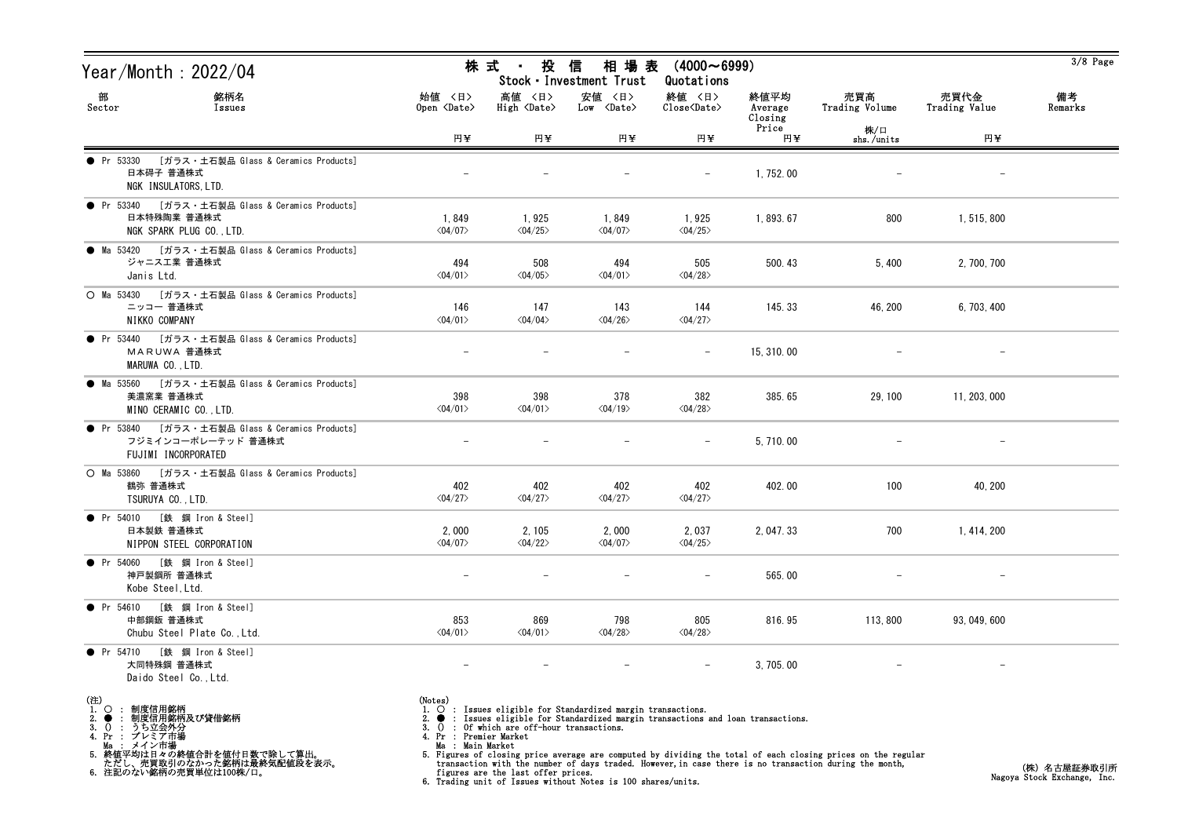| Year/Month : 2022/04                                                                         |                                  |                                   | 株 式 ・ 投 信 相 場 表<br>Stock · Investment Trust | $(4000 \sim 6999)$<br>Quotations |                            |                       |                       | $3/8$ Page    |
|----------------------------------------------------------------------------------------------|----------------------------------|-----------------------------------|---------------------------------------------|----------------------------------|----------------------------|-----------------------|-----------------------|---------------|
| 部<br>銘柄名<br>Sector<br>Issues                                                                 | 始値 〈日〉<br>Open <date></date>     | 高値 〈日〉<br>High <date></date>      | 安値 〈日〉<br>$Low \langle Date \rangle$        | 終値 〈日〉<br>Close <date></date>    | 終値平均<br>Average<br>Closing | 売買高<br>Trading Volume | 売買代金<br>Trading Value | 備考<br>Remarks |
|                                                                                              | 円半                               | H¥                                | 円半                                          | 円半                               | Price<br>円半                | 株/口<br>shs./units     | 円半                    |               |
| ● Pr 53330 [ガラス・土石製品 Glass & Ceramics Products]<br>日本碍子 普通株式<br>NGK INSULATORS, LTD.         |                                  |                                   |                                             |                                  | 1,752.00                   |                       |                       |               |
| ● Pr 53340 [ガラス・土石製品 Glass & Ceramics Products]<br>日本特殊陶業 普通株式<br>NGK SPARK PLUG CO., LTD.   | 1,849<br>$\langle 04/07 \rangle$ | 1,925<br>$\langle 04/25 \rangle$  | 1,849<br>$\langle 04/07 \rangle$            | 1,925<br>$\langle 04/25 \rangle$ | 1,893.67                   | 800                   | 1, 515, 800           |               |
| ● Ma 53420 [ガラス・土石製品 Glass & Ceramics Products]<br>ジャニス工業 普通株式<br>Janis Ltd.                 | 494<br>$\langle 04/01 \rangle$   | 508<br>$\langle 04/05 \rangle$    | 494<br>$\langle 04/01 \rangle$              | 505<br>$\langle 04/28 \rangle$   | 500.43                     | 5,400                 | 2, 700, 700           |               |
| ○ Ma 53430 [ガラス・土石製品 Glass & Ceramics Products]<br>ニッコー 普通株式<br>NIKKO COMPANY                | 146<br>$\langle 04/01 \rangle$   | 147<br>$\langle 04/04 \rangle$    | 143<br>$\langle 04/26 \rangle$              | 144<br>$\langle 04/27 \rangle$   | 145.33                     | 46, 200               | 6, 703, 400           |               |
| ● Pr 53440 [ガラス・土石製品 Glass & Ceramics Products]<br>MARUWA 普通株式<br>MARUWA CO., LTD.           |                                  |                                   |                                             | $-$                              | 15, 310, 00                |                       |                       |               |
| ● Ma 53560 [ガラス・土石製品 Glass & Ceramics Products]<br>美濃窯業 普通株式<br>MINO CERAMIC CO., LTD.       | 398<br>$\langle 04/01 \rangle$   | 398<br>$\langle 04/01 \rangle$    | 378<br>$\langle 04/19 \rangle$              | 382<br>$\langle 04/28 \rangle$   | 385.65                     | 29, 100               | 11, 203, 000          |               |
| ● Pr 53840 [ガラス・土石製品 Glass & Ceramics Products]<br>フジミインコーポレーテッド 普通株式<br>FUJIMI INCORPORATED |                                  |                                   |                                             |                                  | 5,710.00                   |                       |                       |               |
| [ガラス・土石製品 Glass & Ceramics Products]<br>$O$ Ma 53860<br>鶴弥 普通株式<br>TSURUYA CO., LTD.         | 402<br>$\langle 04/27 \rangle$   | 402<br>$\langle 04/27 \rangle$    | 402<br>$\langle 04/27 \rangle$              | 402<br>$\langle 04/27 \rangle$   | 402.00                     | 100                   | 40, 200               |               |
| ● Pr 54010 [鉄 鋼 Iron & Steel]<br>日本製鉄 普通株式<br>NIPPON STEEL CORPORATION                       | 2,000<br>$\langle 04/07 \rangle$ | 2, 105<br>$\langle 04/22 \rangle$ | 2,000<br>$\langle 04/07 \rangle$            | 2,037<br>$\langle 04/25 \rangle$ | 2, 047.33                  | 700                   | 1, 414, 200           |               |
| ● Pr 54060 [鉄 鋼 Iron & Steel]<br>神戸製鋼所 普通株式<br>Kobe Steel, Ltd.                              |                                  |                                   |                                             | $\overline{\phantom{m}}$         | 565.00                     |                       |                       |               |
| [鉄 鋼 Iron & Steel]<br>$\bullet$ Pr 54610<br>中部鋼鈑 普通株式<br>Chubu Steel Plate Co., Ltd.         | 853<br>$\langle 04/01 \rangle$   | 869<br>$\langle 04/01 \rangle$    | 798<br>$\langle04/28\rangle$                | 805<br>$\langle 04/28 \rangle$   | 816.95                     | 113,800               | 93, 049, 600          |               |
| ● Pr 54710 [鉄 鋼 Iron & Steel]<br>大同特殊鋼 普通株式<br>Daido Steel Co., Ltd.                         |                                  |                                   |                                             |                                  | 3, 705.00                  |                       |                       |               |
| (3)                                                                                          | $(M_{\odot} +$                   |                                   |                                             |                                  |                            |                       |                       |               |

(注)<br>1.○ : 制度信用銘柄<br>3.● : 制度信用銘柄及び貸借銘柄<br>3.() : うち立会外分<br>4.Pr : プレミア市場

- 
- 
- 
- Ma : メイン市場 5. 終値平均は日々の終値合計を値付日数で除して算出。 ただし、売買取引のなかった銘柄は最終気配値段を表示。 6. 注記のない銘柄の売買単位は100株/口。

- 
- (Notes)<br>1. : Issues eligible for Standardized margin transactions.<br>2. : Issues eligible for Standardized margin transactions and loan transactions.<br>3. () : Of which are off-hour transactions.<br>4. Pr : Premier Market
- 
- 
- 
- Ma : Main Market<br>5. Figures of closing price average are computed by dividing the total of each closing prices on the regular<br>transaction with the number of days traded. However, in case there is no transaction during the
-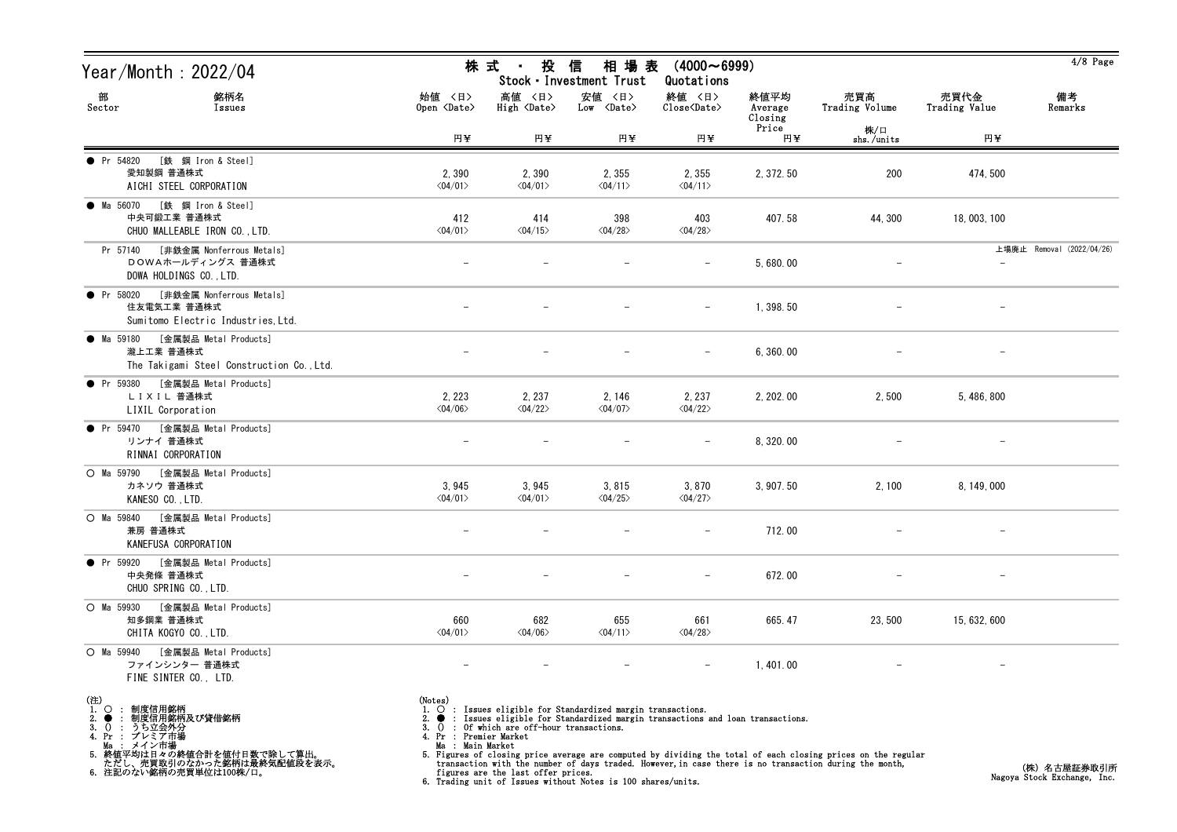| Year/Month : 2022/04                                                                          |                                       | 株 式<br>投<br>$\sim 10^{-1}$            | 信<br>相 場 表<br>Stock · Investment Trust                                                                                                           | $(4000 \sim 6999)$<br>Quotations  |                            |                       |                          | $4/8$ Page                |
|-----------------------------------------------------------------------------------------------|---------------------------------------|---------------------------------------|--------------------------------------------------------------------------------------------------------------------------------------------------|-----------------------------------|----------------------------|-----------------------|--------------------------|---------------------------|
| 部<br>銘柄名<br>Sector<br>Issues                                                                  | 始値 〈日〉<br>Open <date></date>          | 高値 〈日〉<br>High <date></date>          | 安値 〈日〉<br>$Low \langle Date \rangle$                                                                                                             | 終値 〈日〉<br>Close <date></date>     | 終値平均<br>Average<br>Closing | 売買高<br>Trading Volume | 売買代金<br>Trading Value    | 備考<br>Remarks             |
|                                                                                               | 円¥                                    | 円半                                    | 円半                                                                                                                                               | 円半                                | Price<br>円半                | 株/口<br>shs./units     | 円半                       |                           |
| • Pr 54820<br>[鉄 鋼 Iron & Steel]<br>愛知製鋼 普通株式<br>AICHI STEEL CORPORATION                      | 2,390<br>$\langle 04/01 \rangle$      | 2,390<br>$\langle 04/01 \rangle$      | 2, 355<br>$\langle 04/11 \rangle$                                                                                                                | 2,355<br>$\langle 04/11 \rangle$  | 2, 372.50                  | 200                   | 474, 500                 |                           |
| ● Ma 56070 [鉄 鋼 Iron & Steel]<br>中央可鍛工業 普通株式<br>CHUO MALLEABLE IRON CO., LTD.                 | 412<br>$\langle 04/01 \rangle$        | 414<br>$\langle 04/15 \rangle$        | 398<br>$\langle 04/28 \rangle$                                                                                                                   | 403<br>$\langle 04/28 \rangle$    | 407.58                     | 44,300                | 18, 003, 100             |                           |
| [非鉄金属 Nonferrous Metals]<br>Pr 57140<br>DOWAホールディングス 普通株式<br>DOWA HOLDINGS CO., LTD.          |                                       |                                       |                                                                                                                                                  |                                   | 5,680.00                   |                       |                          | 上場廃止 Removal (2022/04/26) |
| [非鉄金属 Nonferrous Metals]<br>• Pr 58020<br>住友電気工業 普通株式<br>Sumitomo Electric Industries, Ltd.   | $\overline{\phantom{m}}$              | $\overline{\phantom{m}}$              |                                                                                                                                                  | $\overline{\phantom{m}}$          | 1,398.50                   |                       | $\overline{\phantom{0}}$ |                           |
| ● Ma 59180<br>[金属製品 Metal Products]<br>瀧上工業 普通株式<br>The Takigami Steel Construction Co., Ltd. |                                       |                                       |                                                                                                                                                  | $\overline{\phantom{m}}$          | 6,360.00                   |                       |                          |                           |
| [金属製品 Metal Products]<br>• Pr 59380<br>LIXIL 普通株式<br>LIXIL Corporation                        | 2, 223<br>$\langle 04/06 \rangle$     | 2, 237<br>$\langle 04/22 \rangle$     | 2, 146<br>$\langle 04/07 \rangle$                                                                                                                | 2, 237<br>$\langle 04/22 \rangle$ | 2, 202.00                  | 2,500                 | 5, 486, 800              |                           |
| [金属製品 Metal Products]<br>$\bullet$ Pr 59470<br>リンナイ 普通株式<br>RINNAI CORPORATION                |                                       |                                       |                                                                                                                                                  |                                   | 8, 320.00                  |                       |                          |                           |
| [金属製品 Metal Products]<br>O Ma 59790<br>カネソウ 普通株式<br>KANESO CO., LTD.                          | 3,945<br>$\langle 04/01 \rangle$      | 3,945<br>$\langle 04/01 \rangle$      | 3,815<br>$\langle 04/25 \rangle$                                                                                                                 | 3,870<br>$\langle 04/27 \rangle$  | 3, 907.50                  | 2, 100                | 8, 149, 000              |                           |
| [金属製品 Metal Products]<br>O Ma 59840<br>兼房 普通株式<br>KANEFUSA CORPORATION                        |                                       |                                       |                                                                                                                                                  |                                   | 712.00                     |                       |                          |                           |
| ● Pr 59920 [金属製品 Metal Products]<br>中央発條 普通株式<br>CHUO SPRING CO., LTD.                        |                                       |                                       |                                                                                                                                                  |                                   | 672.00                     |                       |                          |                           |
| O Ma 59930<br>[金属製品 Metal Products]<br>知多鋼業 普通株式<br>CHITA KOGYO CO., LTD.                     | 660<br>$\langle 04/01 \rangle$        | 682<br>$\langle 04/06 \rangle$        | 655<br>$\langle 04/11 \rangle$                                                                                                                   | 661<br>$\langle 04/28 \rangle$    | 665.47                     | 23,500                | 15, 632, 600             |                           |
| O Ma 59940<br>[金属製品 Metal Products]<br>ファインシンター 普通株式<br>FINE SINTER CO., LTD.                 |                                       |                                       |                                                                                                                                                  |                                   | 1,401.00                   |                       |                          |                           |
| (注)<br>1.○ : 制度信用銘柄<br>2. ● : 制度信用銘柄<br>制度信用銘柄及び貸借銘柄<br>うち立会外分<br>3.<br>-0<br>プレミア市場          | (Notes)<br>- 0<br>Pr : Premier Market | : Of which are off-hour transactions. | $\circ$ : Issues eligible for Standardized margin transactions.<br>: Issues eligible for Standardized margin transactions and loan transactions. |                                   |                            |                       |                          |                           |

Ma : メイン市場 5. 終値平均は日々の終値合計を値付日数で除して算出。 ただし、売買取引のなかった銘柄は最終気配値段を表示。 6. 注記のない銘柄の売買単位は100株/口。

- 
- Ma : Main Market<br>5. Figures of closing price average are computed by dividing the total of each closing prices on the regular<br>transaction with the number of days traded. However, in case there is no transaction during the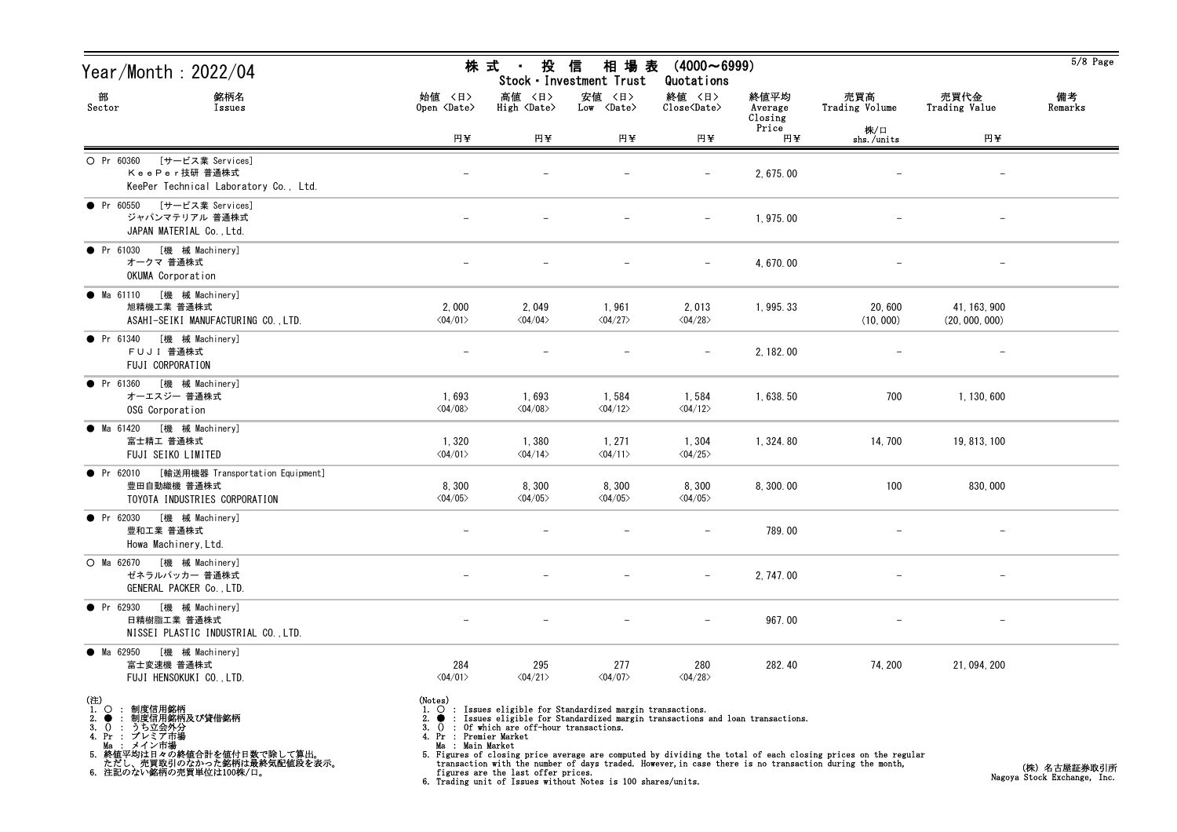| Year/Month : 2022/04                                                                        | 株                                       | 式<br>$\mathbf{H}^{\text{max}}$                | 投 信<br>相 場 表<br>Stock · Investment Trust                                                                                                                                   | $(4000 \sim 6999)$<br>Quotations |                            |                       |                                | $5/8$ Page    |
|---------------------------------------------------------------------------------------------|-----------------------------------------|-----------------------------------------------|----------------------------------------------------------------------------------------------------------------------------------------------------------------------------|----------------------------------|----------------------------|-----------------------|--------------------------------|---------------|
| 部<br>銘柄名<br>Sector<br>Issues                                                                | 始值 〈日〉<br>Open <date></date>            | 高値 〈日〉<br>High <date></date>                  | 安値 〈日〉<br>Low <date></date>                                                                                                                                                | 終値 〈日〉<br>Close <date></date>    | 終値平均<br>Average<br>Closing | 売買高<br>Trading Volume | 売買代金<br>Trading Value          | 備考<br>Remarks |
|                                                                                             | 円半                                      | 円半                                            | 円¥                                                                                                                                                                         | 円半                               | Price<br>円半                | 株/口<br>$shs.$ /units  | 円半                             |               |
| O Pr 60360 [サービス業 Services]<br>KeePer技研 普通株式<br>KeePer Technical Laboratory Co., Ltd.       |                                         |                                               |                                                                                                                                                                            |                                  | 2, 675.00                  |                       |                                |               |
| ● Pr 60550 [サービス業 Services]<br>ジャパンマテリアル 普通株式<br>JAPAN MATERIAL Co., Ltd.                   |                                         |                                               |                                                                                                                                                                            | $\overline{\phantom{m}}$         | 1,975.00                   |                       | $\overline{\phantom{a}}$       |               |
| [機 械 Machinery]<br>$\bullet$ Pr 61030<br>オークマ 普通株式<br>OKUMA Corporation                     |                                         |                                               |                                                                                                                                                                            |                                  | 4,670.00                   |                       |                                |               |
| ● Ma 61110 [機 械 Machinery]<br>旭精機工業 普通株式<br>ASAHI-SEIKI MANUFACTURING CO., LTD.             | 2,000<br>$\langle 04/01 \rangle$        | 2,049<br>$\langle 04/04 \rangle$              | 1,961<br>$\langle 04/27 \rangle$                                                                                                                                           | 2,013<br>$\langle 04/28 \rangle$ | 1, 995. 33                 | 20,600<br>(10, 000)   | 41, 163, 900<br>(20, 000, 000) |               |
| ● Pr 61340 [機 械 Machinery]<br>FUJI 普通株式<br>FUJI CORPORATION                                 |                                         |                                               |                                                                                                                                                                            |                                  | 2, 182.00                  |                       |                                |               |
| ● Pr 61360 [機 械 Machinery]<br>オーエスジー 普通株式<br>OSG Corporation                                | 1,693<br>$\langle 04/08 \rangle$        | 1,693<br>$\langle 04/08 \rangle$              | 1,584<br>$\langle 04/12 \rangle$                                                                                                                                           | 1,584<br>$\langle 04/12 \rangle$ | 1,638.50                   | 700                   | 1, 130, 600                    |               |
| ● Ma 61420 [機 械 Machinery]<br>富士精工 普通株式<br>FUJI SEIKO LIMITED                               | 1,320<br>$\langle 04/01 \rangle$        | 1,380<br>$\langle 04/14 \rangle$              | 1, 271<br>$\langle 04/11 \rangle$                                                                                                                                          | 1,304<br>$\langle 04/25 \rangle$ | 1, 324.80                  | 14, 700               | 19, 813, 100                   |               |
| ● Pr 62010 [輸送用機器 Transportation Equipment]<br>豊田自動織機 普通株式<br>TOYOTA INDUSTRIES CORPORATION | 8,300<br>$\langle 04/05 \rangle$        | 8,300<br>$\langle 04/05 \rangle$              | 8,300<br>$\langle 04/05 \rangle$                                                                                                                                           | 8,300<br>$\langle 04/05 \rangle$ | 8,300.00                   | 100                   | 830,000                        |               |
| ● Pr 62030 [機 械 Machinery]<br>豊和工業 普通株式<br>Howa Machinery, Ltd.                             |                                         |                                               |                                                                                                                                                                            |                                  | 789.00                     |                       |                                |               |
| ○ Ma 62670 [機 械 Machinery]<br>ゼネラルパッカー 普通株式<br>GENERAL PACKER Co., LTD.                     |                                         |                                               |                                                                                                                                                                            |                                  | 2, 747.00                  |                       |                                |               |
| [機 械 Machinery]<br>• Pr 62930<br>日精樹脂工業 普通株式<br>NISSEI PLASTIC INDUSTRIAL CO., LTD.         |                                         |                                               |                                                                                                                                                                            |                                  | 967.00                     |                       |                                |               |
| • Ma 62950<br>[機 械 Machinery]<br>富士変速機 普通株式<br>FUJI HENSOKUKI CO., LTD.                     | 284<br>$\langle 04/01 \rangle$          | 295<br>$\langle 04/21 \rangle$                | 277<br>$\langle 04/07 \rangle$                                                                                                                                             | 280<br>$\langle 04/28 \rangle$   | 282.40                     | 74, 200               | 21, 094, 200                   |               |
| (注)<br>1.○ : 制度信用銘柄<br>2.● : 制度信用銘柄及び貸借銘柄<br>3.() : うち立会外分<br>4.Pr : プレミア市場                 | (Notes)<br>1.<br>4. Pr : Premier Market | 3. $()$ : Of which are off-hour transactions. | $\overrightarrow{O}$ : Issues eligible for Standardized margin transactions.<br>2. $\bullet$ : Issues eligible for Standardized margin transactions and loan transactions. |                                  |                            |                       |                                |               |

Ma : Main Market<br>5. Figures of closing price average are computed by dividing the total of each closing prices on the regular<br>transaction with the number of days traded. However, in case there is no transaction during the

Ma : メイン市場 5. 終値平均は日々の終値合計を値付日数で除して算出。 ただし、売買取引のなかった銘柄は最終気配値段を表示。 6. 注記のない銘柄の売買単位は100株/口。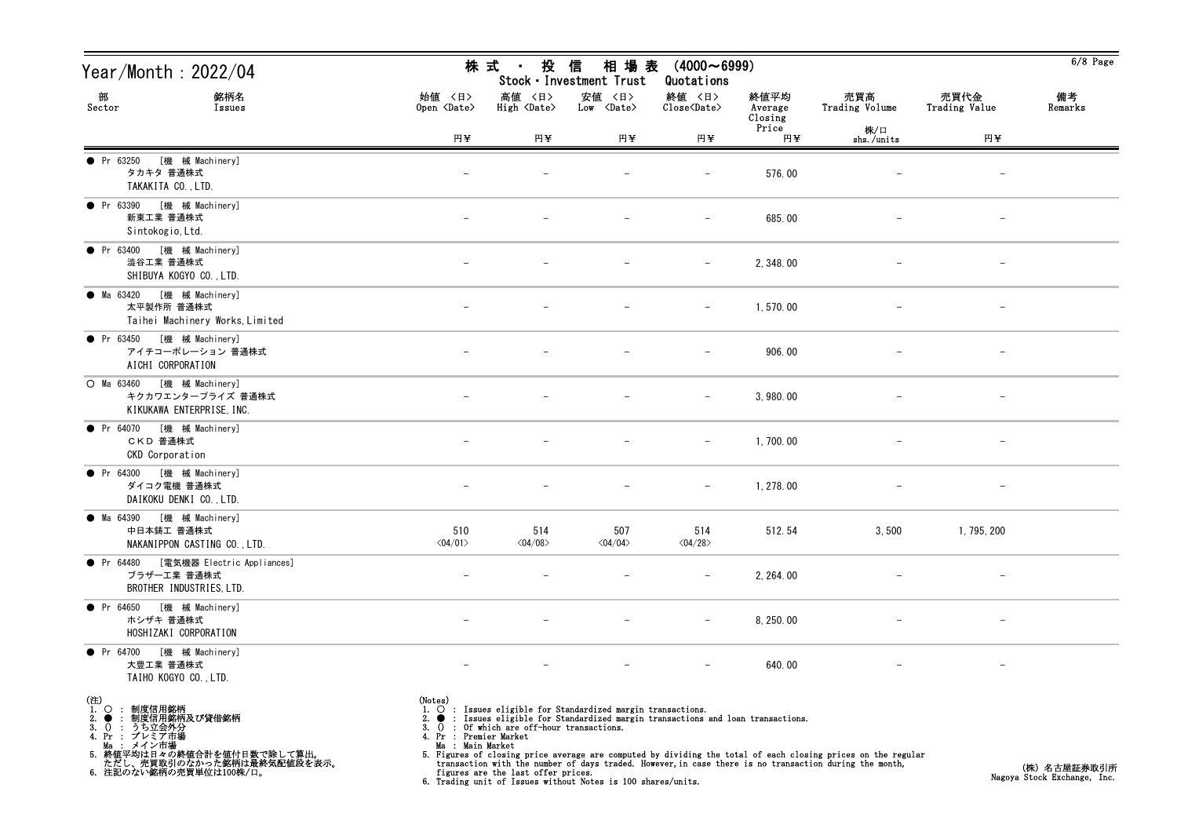| Year/Month : 2022/04                                                             |                                                       | 株式 ・ 投                                                                              | 信<br>Stock · Investment Trust                                                                                                                                                                                          | 相場表 (4000~6999)<br>Quotations                      |                            |                                                                                                                                                                                                                        |                          | $6/8$ Page                                 |
|----------------------------------------------------------------------------------|-------------------------------------------------------|-------------------------------------------------------------------------------------|------------------------------------------------------------------------------------------------------------------------------------------------------------------------------------------------------------------------|----------------------------------------------------|----------------------------|------------------------------------------------------------------------------------------------------------------------------------------------------------------------------------------------------------------------|--------------------------|--------------------------------------------|
| 銘柄名<br>部<br>Sector<br>Issues                                                     | 始値 〈日〉<br>Open <date></date>                          | 高値 〈日〉<br>High <date></date>                                                        | 安値 〈日〉<br>Low <date></date>                                                                                                                                                                                            | 終値 〈日〉<br>$\text{Close}\langle \text{Date}\rangle$ | 終値平均<br>Average<br>Closing | 売買高<br>Trading Volume                                                                                                                                                                                                  | 売買代金<br>Trading Value    | 備考<br>Remarks                              |
|                                                                                  | 円半                                                    | 円半                                                                                  | 円半                                                                                                                                                                                                                     | 円¥                                                 | Price<br>円半                | 株/口<br>shs./units                                                                                                                                                                                                      | 円半                       |                                            |
| [機 械 Machinery]<br>$\bullet$ Pr 63250<br>タカキタ 普通株式<br>TAKAKITA CO., LTD.         | $\qquad \qquad -$                                     |                                                                                     |                                                                                                                                                                                                                        | $-$                                                | 576.00                     |                                                                                                                                                                                                                        |                          |                                            |
| ● Pr 63390 [機 械 Machinery]<br>新東工業 普通株式<br>Sintokogio, Ltd.                      |                                                       |                                                                                     |                                                                                                                                                                                                                        |                                                    | 685.00                     |                                                                                                                                                                                                                        |                          |                                            |
| ● Pr 63400 [機 械 Machinery]<br>澁谷工業 普通株式<br>SHIBUYA KOGYO CO., LTD.               | $\overline{\phantom{0}}$                              |                                                                                     |                                                                                                                                                                                                                        | $-$                                                | 2, 348.00                  |                                                                                                                                                                                                                        | $\overline{\phantom{a}}$ |                                            |
| ● Ma 63420 [機 械 Machinery]<br>太平製作所 普通株式<br>Taihei Machinery Works, Limited      |                                                       |                                                                                     |                                                                                                                                                                                                                        | $-$                                                | 1,570.00                   |                                                                                                                                                                                                                        |                          |                                            |
| ● Pr 63450 [機械 Machinery]<br>アイチコーポレーション 普通株式<br>AICHI CORPORATION               |                                                       |                                                                                     |                                                                                                                                                                                                                        | $-$                                                | 906.00                     |                                                                                                                                                                                                                        | $\qquad \qquad -$        |                                            |
| ○ Ma 63460 [機 械 Machinery]<br>キクカワエンタープライズ 普通株式<br>KIKUKAWA ENTERPRISE, INC.     | $\overline{\phantom{0}}$                              |                                                                                     |                                                                                                                                                                                                                        | $\overline{\phantom{m}}$                           | 3,980.00                   |                                                                                                                                                                                                                        | $\overline{\phantom{m}}$ |                                            |
| ● Pr 64070 [機 械 Machinery]<br>CKD 普通株式<br>CKD Corporation                        |                                                       |                                                                                     |                                                                                                                                                                                                                        | $-$                                                | 1,700.00                   |                                                                                                                                                                                                                        |                          |                                            |
| ● Pr 64300 [機 械 Machinery]<br>ダイコク電機 普通株式<br>DAIKOKU DENKI CO., LTD.             | $\overline{\phantom{m}}$                              | $\qquad \qquad -$                                                                   |                                                                                                                                                                                                                        | $-$                                                | 1, 278.00                  | $\overline{\phantom{m}}$                                                                                                                                                                                               | $\qquad \qquad -$        |                                            |
| ● Ma 64390 [機 械 Machinery]<br>中日本鋳工 普通株式<br>NAKANIPPON CASTING CO., LTD.         | 510<br>$\langle 04/01 \rangle$                        | 514<br>$\langle 04/08 \rangle$                                                      | 507<br>$\langle 04/04 \rangle$                                                                                                                                                                                         | 514<br>$\langle 04/28 \rangle$                     | 512.54                     | 3,500                                                                                                                                                                                                                  | 1, 795, 200              |                                            |
| ● Pr 64480 [電気機器 Electric Appliances]<br>ブラザーエ業 普通株式<br>BROTHER INDUSTRIES, LTD. |                                                       |                                                                                     |                                                                                                                                                                                                                        |                                                    | 2, 264.00                  |                                                                                                                                                                                                                        |                          |                                            |
| [機 械 Machinery]<br>• Pr 64650<br>ホシザキ 普通株式<br>HOSHIZAKI CORPORATION              |                                                       |                                                                                     |                                                                                                                                                                                                                        |                                                    | 8, 250.00                  |                                                                                                                                                                                                                        |                          |                                            |
| [機 械 Machinery]<br>$\bullet$ Pr 64700<br>大豊工業 普通株式<br>TAIHO KOGYO CO., LTD.      |                                                       |                                                                                     |                                                                                                                                                                                                                        |                                                    | 640.00                     |                                                                                                                                                                                                                        |                          |                                            |
| (注)<br>1.○ : 制度信用銘柄<br>2.● : 制度信用銘柄及び貸借銘柄<br>3. () : うち立会外分<br>4. Pr : プレミア市場    | (Notes)<br>4. Pr : Premier Market<br>Ma : Main Market | 3. $()$ : Of which are off-hour transactions.<br>figures are the last offer prices. | 1. $\bigcirc$ : Issues eligible for Standardized margin transactions.<br>: Issues eligible for Standardized margin transactions and loan transactions.<br>6. Trading unit of Issues without Notes is 100 shares/units. |                                                    |                            | 5. Figures of closing price average are computed by dividing the total of each closing prices on the regular<br>transaction with the number of days traded. However, in case there is no transaction during the month, |                          | (株)名古屋証券取引所<br>Nagoya Stock Exchange, Inc. |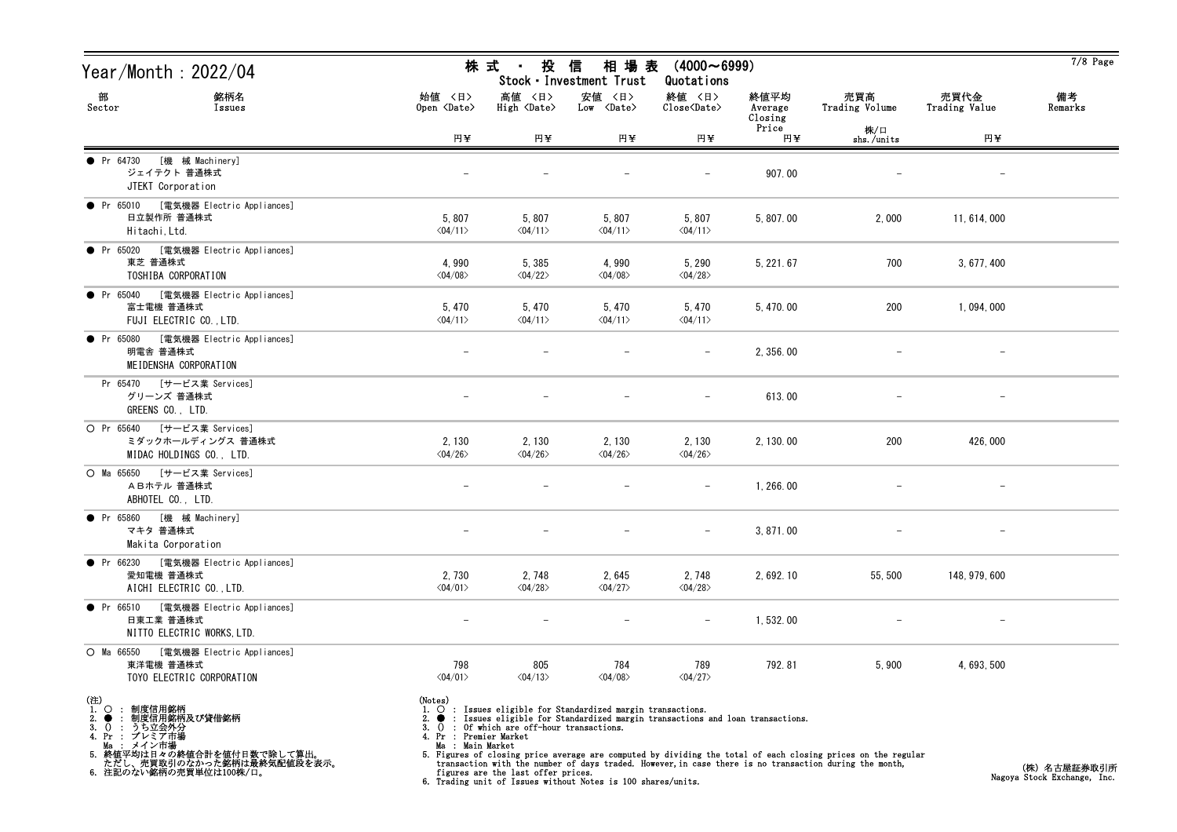| Year/Month : 2022/04                                                                              |                                   | 株 式 ・<br>投 信                                  | 相 場 表<br>Stock · Investment Trust                                                                                                                      | $(4000 \sim 6999)$<br>Quotations                   |                            |                       |                          | $7/8$ Page    |
|---------------------------------------------------------------------------------------------------|-----------------------------------|-----------------------------------------------|--------------------------------------------------------------------------------------------------------------------------------------------------------|----------------------------------------------------|----------------------------|-----------------------|--------------------------|---------------|
| 部<br>銘柄名<br>Sector<br>Issues                                                                      | 始値 〈日〉<br>Open <date></date>      | 高値 〈日〉<br>High <date></date>                  | 安値 〈日〉<br>$Low \ \langle Date \rangle$                                                                                                                 | 終値 〈日〉<br>$\text{Close}\langle \text{Date}\rangle$ | 終値平均<br>Average<br>Closing | 売買高<br>Trading Volume | 売買代金<br>Trading Value    | 備考<br>Remarks |
|                                                                                                   | 円半                                | 円半                                            | 円半                                                                                                                                                     | 円半                                                 | Price<br>円半                | 株/口<br>shs./units     | 円半                       |               |
| [機 械 Machinery]<br>• Pr 64730<br>ジェイテクト 普通株式<br>JTEKT Corporation                                 |                                   |                                               |                                                                                                                                                        |                                                    | 907.00                     |                       |                          |               |
| ● Pr 65010 [電気機器 Electric Appliances]<br>日立製作所 普通株式<br>Hitachi, Ltd.                              | 5,807<br>$\langle 04/11 \rangle$  | 5,807<br>$\langle 04/11 \rangle$              | 5,807<br>$\langle 04/11 \rangle$                                                                                                                       | 5,807<br>$\langle 04/11 \rangle$                   | 5,807.00                   | 2,000                 | 11, 614, 000             |               |
| ● Pr 65020 [電気機器 Electric Appliances]<br>東芝 普通株式<br>TOSHIBA CORPORATION                           | 4,990<br>$\langle 04/08 \rangle$  | 5,385<br>$\langle 04/22 \rangle$              | 4,990<br>$\langle 04/08 \rangle$                                                                                                                       | 5,290<br>$\langle 04/28 \rangle$                   | 5, 221.67                  | 700                   | 3, 677, 400              |               |
| ● Pr 65040 [電気機器 Electric Appliances]<br>富士電機 普通株式<br>FUJI ELECTRIC CO., LTD.                     | 5,470<br>$\langle 04/11 \rangle$  | 5,470<br>$\langle 04/11 \rangle$              | 5, 470<br>$\langle 04/11 \rangle$                                                                                                                      | 5,470<br>$\langle 04/11 \rangle$                   | 5, 470.00                  | 200                   | 1, 094, 000              |               |
| [電気機器 Electric Appliances]<br>• Pr 65080<br>明電舎 普通株式<br>MEIDENSHA CORPORATION                     |                                   |                                               |                                                                                                                                                        |                                                    | 2, 356.00                  |                       |                          |               |
| Pr 65470 [サービス業 Services]<br>グリーンズ 普通株式<br>GREENS CO., LTD.                                       |                                   |                                               |                                                                                                                                                        | $\overline{\phantom{a}}$                           | 613.00                     |                       | $\overline{\phantom{m}}$ |               |
| O Pr 65640 [サービス業 Services]<br>ミダックホールディングス 普通株式<br>MIDAC HOLDINGS CO., LTD.                      | 2, 130<br>$\langle 04/26 \rangle$ | 2, 130<br>$\langle 04/26 \rangle$             | 2, 130<br>$\langle 04/26 \rangle$                                                                                                                      | 2, 130<br>$\langle 04/26 \rangle$                  | 2, 130.00                  | 200                   | 426,000                  |               |
| ○ Ma 65650 [サービス業 Services]<br>ABホテル普通株式<br>ABHOTEL CO., LTD.                                     | $\overline{\phantom{0}}$          |                                               |                                                                                                                                                        | $\overline{\phantom{a}}$                           | 1, 266.00                  |                       |                          |               |
| [機 械 Machinery]<br>$\bullet$ Pr 65860<br>マキタ 普通株式<br>Makita Corporation                           |                                   |                                               |                                                                                                                                                        | $\overline{\phantom{m}}$                           | 3, 871.00                  |                       | $\overline{\phantom{m}}$ |               |
| ● Pr 66230 [電気機器 Electric Appliances]<br>愛知電機 普通株式<br>AICHI ELECTRIC CO., LTD.                    | 2,730<br>$\langle 04/01 \rangle$  | 2,748<br>$\langle 04/28 \rangle$              | 2,645<br>$\langle 04/27 \rangle$                                                                                                                       | 2,748<br>$\langle 04/28 \rangle$                   | 2, 692. 10                 | 55, 500               | 148, 979, 600            |               |
| • Pr 66510<br>[電気機器 Electric Appliances]<br>日東工業 普通株式<br>NITTO ELECTRIC WORKS, LTD.               |                                   |                                               |                                                                                                                                                        |                                                    | 1,532.00                   |                       |                          |               |
| $O$ Ma 66550<br>[電気機器 Electric Appliances]<br>東洋電機 普通株式<br>TOYO ELECTRIC CORPORATION              | 798<br>$\langle 04/01 \rangle$    | 805<br>$\langle 04/13 \rangle$                | 784<br>$\langle 04/08 \rangle$                                                                                                                         | 789<br>$\langle 04/27 \rangle$                     | 792.81                     | 5,900                 | 4, 693, 500              |               |
| (注)<br>1. Q : <u>制度信用銘柄</u><br>制度信用銘柄及び貸借銘柄<br>$2.$ $\bullet$<br>うち立会外分<br>3.0:<br>4. Pr : プレミア市場 | (Notes)<br>4. Pr : Premier Market | 3. $()$ : Of which are off-hour transactions. | 1. $\bigcirc$ : Issues eligible for Standardized margin transactions.<br>: Issues eligible for Standardized margin transactions and loan transactions. |                                                    |                            |                       |                          |               |

Ma : メイン市場

5. 終値平均は日々の終値合計を値付日数で除して算出。 ただし、売買取引のなかった銘柄は最終気配値段を表示。 6. 注記のない銘柄の売買単位は100株/口。

Ma : Main Market<br>5. Figures of closing price average are computed by dividing the total of each closing prices on the regular<br>transaction with the number of days traded. However, in case there is no transaction during the